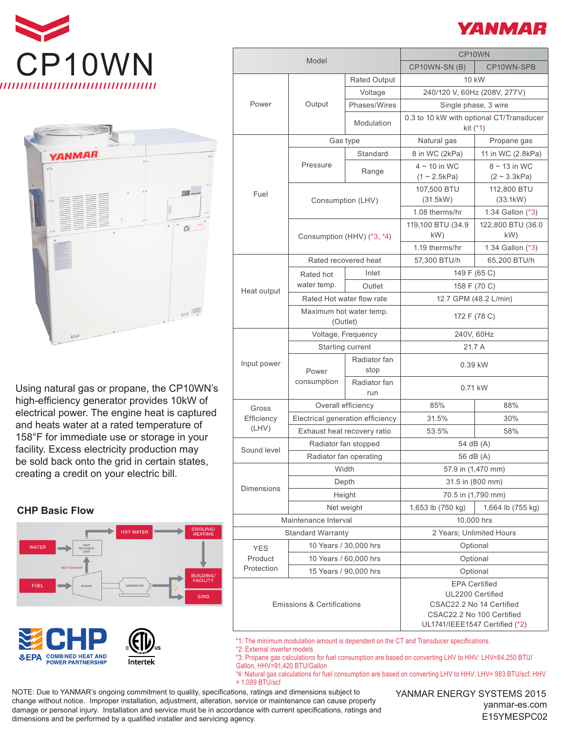



Using natural gas or propane, the CP10WN's high-efficiency generator provides 10kW of electrical power. The engine heat is captured and heats water at a rated temperature of 158°F for immediate use or storage in your facility. Excess electricity production may be sold back onto the grid in certain states, creating a credit on your electric bill.

## **CHP Basic Flow**







| Model                                 |                                     |                      | CP10WN                                                |                                                |
|---------------------------------------|-------------------------------------|----------------------|-------------------------------------------------------|------------------------------------------------|
|                                       |                                     |                      | CP10WN-SN(B)                                          | CP10WN-SPB                                     |
| Power                                 | Output                              | <b>Rated Output</b>  | 10 kW                                                 |                                                |
|                                       |                                     | Voltage              | 240/120 V, 60Hz (208V, 277V)                          |                                                |
|                                       |                                     | Phases/Wires         | Single phase, 3 wire                                  |                                                |
|                                       |                                     | Modulation           | 0.3 to 10 kW with optional CT/Transducer<br>kit (*1)  |                                                |
| Fuel                                  | Gas type                            |                      | Natural gas                                           | Propane gas                                    |
|                                       | Pressure                            | Standard             | 8 in WC (2kPa)                                        | 11 in WC (2.8kPa)                              |
|                                       |                                     | Range                | $4 \sim 10$ in WC<br>$(1 \sim 2.5kPa)$                | $8 \sim 13$ in WC<br>$(2 \sim 3.3 \text{kPa})$ |
|                                       | Consumption (LHV)                   |                      | 107,500 BTU<br>(31.5kW)                               | 112,800 BTU<br>(33.1kW)                        |
|                                       |                                     |                      | 1.08 therms/hr                                        | 1.34 Gallon (*3)                               |
|                                       | Consumption (HHV) (*3, *4)          |                      | 119,100 BTU (34.9                                     | 122,800 BTU (36.0                              |
|                                       |                                     |                      | kW)                                                   | kW)                                            |
|                                       |                                     |                      | 1.19 therms/hr                                        | 1.34 Gallon (*3)                               |
| Heat output                           |                                     | Rated recovered heat | 57,300 BTU/h                                          | 65,200 BTU/h                                   |
|                                       | Rated hot                           | Inlet                |                                                       | 149 F (65 C)                                   |
|                                       | water temp.                         | Outlet               | 158 F (70 C)                                          |                                                |
|                                       | Rated Hot water flow rate           |                      | 12.7 GPM (48.2 L/min)                                 |                                                |
|                                       | Maximum hot water temp.<br>(Outlet) |                      | 172 F (78 C)                                          |                                                |
| Input power                           | Voltage, Frequency                  |                      | 240V, 60Hz                                            |                                                |
|                                       | Starting current                    |                      | 21.7 A                                                |                                                |
|                                       | Power                               | Radiator fan<br>stop | 0.39 kW                                               |                                                |
|                                       | consumption                         | Radiator fan<br>run  | 0.71 kW                                               |                                                |
| Gross<br>Efficiency<br>(LHV)          | Overall efficiency                  |                      | 85%                                                   | 88%                                            |
|                                       | Electrical generation efficiency    |                      | 31.5%                                                 | 30%                                            |
|                                       | Exhaust heat recovery ratio         |                      | 53.5%                                                 | 58%                                            |
| Sound level                           | Radiator fan stopped                |                      | 54 dB (A)                                             |                                                |
|                                       | Radiator fan operating              |                      | 56 dB (A)                                             |                                                |
| <b>Dimensions</b>                     | Width                               |                      | 57.9 in (1,470 mm)                                    |                                                |
|                                       | Depth                               |                      | 31.5 in (800 mm)                                      |                                                |
|                                       | Height                              |                      | 70.5 in (1,790 mm)                                    |                                                |
|                                       | Net weight                          |                      | 1,653 lb (750 kg)                                     | 1,664 lb (755 kg)                              |
| Maintenance Interval                  |                                     | 10,000 hrs           |                                                       |                                                |
| <b>Standard Warranty</b>              |                                     |                      | 2 Years; Unlimited Hours                              |                                                |
| <b>YES</b>                            | 10 Years / 30,000 hrs               |                      | Optional                                              |                                                |
| Product                               | 10 Years / 60,000 hrs               |                      | Optional                                              |                                                |
| Protection                            | 15 Years / 90,000 hrs               |                      | Optional                                              |                                                |
| <b>Emissions &amp; Certifications</b> |                                     |                      | <b>EPA Certified</b>                                  |                                                |
|                                       |                                     |                      | UL2200 Certified                                      |                                                |
|                                       |                                     |                      | CSAC22.2 No 14 Certified<br>CSAC22.2 No 100 Certified |                                                |

\*1: The minimum modulation amount is dependent on the CT and Transducer specifications.

\*2: External inverter models

\*3: Propane gas calculations for fuel consumption are based on converting LHV to HHV: LHV=84,250 BTU/ Gallon, HHV=91,420 BTU/Gallon

\*4: Natural gas calculations for fuel consumption are based on converting LHV to HHV: LHV= 983 BTU/scf, HHV = 1,089 BTU/scf

NOTE: Due to YANMAR's ongoing commitment to quality, specifications, ratings and dimensions subject to change without notice. Improper installation, adjustment, alteration, service or maintenance can cause property damage or personal injury. Installation and service must be in accordance with current specifications, ratings and dimensions and be performed by a qualified installer and servicing agency.



UL1741/IEEE1547 Certified (\*2)